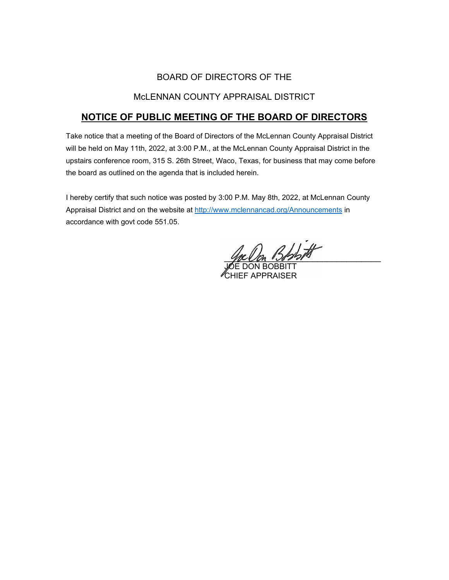## BOARD OF DIRECTORS OF THE

## McLENNAN COUNTY APPRAISAL DISTRICT

# **NOTICE OF PUBLIC MEETING OF THE BOARD OF DIRECTORS**

Take notice that a meeting of the Board of Directors of the McLennan County Appraisal District will be held on May 11th, 2022, at 3:00 P.M., at the McLennan County Appraisal District in the upstairs conference room, 315 S. 26th Street, Waco, Texas, for business that may come before the board as outlined on the agenda that is included herein.

I hereby certify that such notice was posted by 3:00 P.M. May 8th, 2022, at McLennan County Appraisal District and on the website at [http://www.mclennancad.org/Announcements](http://www.mclennancad.org/index.php/Announcements) in accordance with govt code 551.05.

e On Bost

DON BOBBITT HIFF APPRAISER